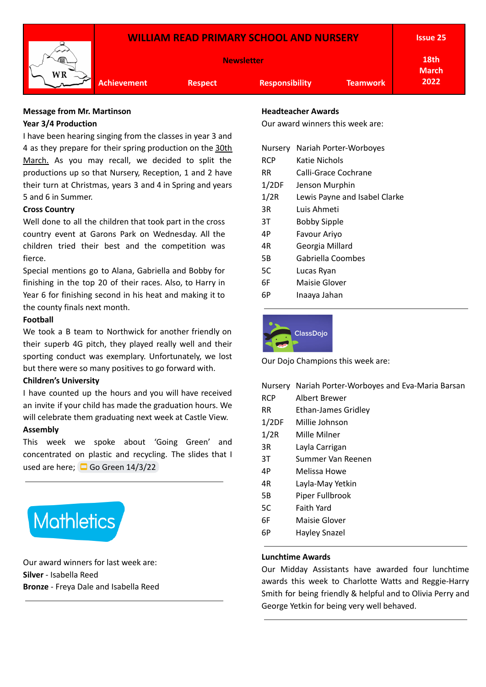

### **Message from Mr. Martinson Year 3/4 Production**

I have been hearing singing from the classes in year 3 and 4 as they prepare for their spring production on the 30th March. As you may recall, we decided to split the productions up so that Nursery, Reception, 1 and 2 have their turn at Christmas, years 3 and 4 in Spring and years 5 and 6 in Summer.

## **Cross Country**

Well done to all the children that took part in the cross country event at Garons Park on Wednesday. All the children tried their best and the competition was fierce.

Special mentions go to Alana, Gabriella and Bobby for finishing in the top 20 of their races. Also, to Harry in Year 6 for finishing second in his heat and making it to the county finals next month.

### **Football**

We took a B team to Northwick for another friendly on their superb 4G pitch, they played really well and their sporting conduct was exemplary. Unfortunately, we lost but there were so many positives to go forward with.

### **Children's University**

I have counted up the hours and you will have received an invite if your child has made the graduation hours. We will celebrate them graduating next week at Castle View.

### **Assembly**

This week we spoke about 'Going Green' and concentrated on plastic and recycling. The slides that I used are here;  $\Box$  Go Green [14/3/22](https://docs.google.com/presentation/d/1RTSOqHNB26gO09qDMZZmM23H5G4xKzgb4EILMaY2bp8/edit?usp=sharing)



Our award winners for last week are: **Silver** - Isabella Reed **Bronze** - Freya Dale and Isabella Reed

### **Headteacher Awards**

Our award winners this week are:

| Nursery | Nariah Porter-Worboyes        |
|---------|-------------------------------|
| RCP     | Katie Nichols                 |
| RR      | Calli-Grace Cochrane          |
| 1/2DF   | Jenson Murphin                |
| 1/2R    | Lewis Payne and Isabel Clarke |
| 3R      | Luis Ahmeti                   |
| ЗT      | Bobby Sipple                  |
| 4Р      | Favour Ariyo                  |
| 4R      | Georgia Millard               |
| 5Β      | Gabriella Coombes             |
| 5C      | Lucas Ryan                    |
| 6F      | Maisie Glover                 |
| 6Р      | Inaaya Jahan                  |
|         |                               |



Our Dojo Champions this week are:

|            | Nursery Nariah Porter-Worboyes and Eva-Maria Barsan |
|------------|-----------------------------------------------------|
| <b>RCP</b> | Albert Brewer                                       |
| RR.        | <b>Ethan-James Gridley</b>                          |
| 1/2DF      | Millie Johnson                                      |
| 1/2R       | Mille Milner                                        |
| 3R         | Layla Carrigan                                      |
| 3T         | Summer Van Reenen                                   |
| 4P         | Melissa Howe                                        |
| 4R         | Layla-May Yetkin                                    |
| 5Β         | Piper Fullbrook                                     |
| 5C         | <b>Faith Yard</b>                                   |
| 6F         | Maisie Glover                                       |
| 6Р         | <b>Hayley Snazel</b>                                |
|            |                                                     |
|            |                                                     |

# **Lunchtime Awards**

Our Midday Assistants have awarded four lunchtime awards this week to Charlotte Watts and Reggie-Harry Smith for being friendly & helpful and to Olivia Perry and George Yetkin for being very well behaved.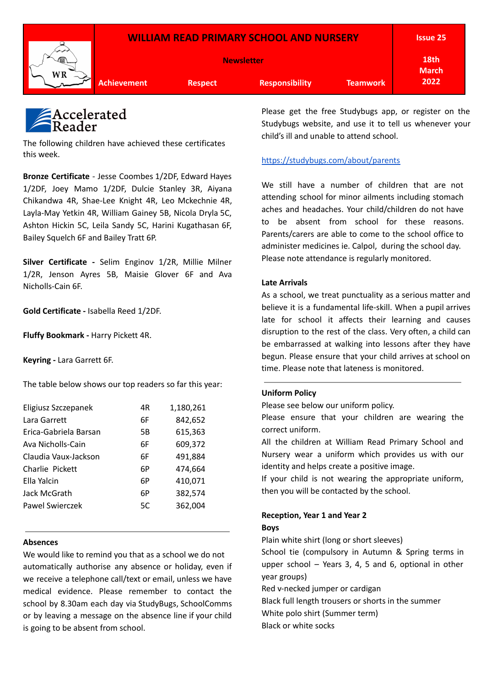



The following children have achieved these certificates this week.

**Bronze Certificate** - Jesse Coombes 1/2DF, Edward Hayes 1/2DF, Joey Mamo 1/2DF, Dulcie Stanley 3R, Aiyana Chikandwa 4R, Shae-Lee Knight 4R, Leo Mckechnie 4R, Layla-May Yetkin 4R, William Gainey 5B, Nicola Dryla 5C, Ashton Hickin 5C, Leila Sandy 5C, Harini Kugathasan 6F, Bailey Squelch 6F and Bailey Tratt 6P.

**Silver Certificate -** Selim Enginov 1/2R, Millie Milner 1/2R, Jenson Ayres 5B, Maisie Glover 6F and Ava Nicholls-Cain 6F.

**Gold Certificate -** Isabella Reed 1/2DF.

**Fluffy Bookmark -** Harry Pickett 4R.

**Keyring -** Lara Garrett 6F.

The table below shows our top readers so far this year:

| Eligiusz Szczepanek   | 4R | 1,180,261 |
|-----------------------|----|-----------|
| Lara Garrett          | 6F | 842,652   |
| Erica-Gabriela Barsan | 5Β | 615,363   |
| Ava Nicholls-Cain     | 6F | 609,372   |
| Claudia Vaux-Jackson  | 6F | 491,884   |
| Charlie Pickett       | 6P | 474,664   |
| Ella Yalcin           | 6P | 410,071   |
| Jack McGrath          | 6P | 382,574   |
| Pawel Swierczek       | 5C | 362,004   |
|                       |    |           |

#### **Absences**

We would like to remind you that as a school we do not automatically authorise any absence or holiday, even if we receive a telephone call/text or email, unless we have medical evidence. Please remember to contact the school by 8.30am each day via StudyBugs, SchoolComms or by leaving a message on the absence line if your child is going to be absent from school.

Please get the free Studybugs app, or register on the Studybugs website, and use it to tell us whenever your child's ill and unable to attend school.

### <https://studybugs.com/about/parents>

We still have a number of children that are not attending school for minor ailments including stomach aches and headaches. Your child/children do not have to be absent from school for these reasons. Parents/carers are able to come to the school office to administer medicines ie. Calpol, during the school day. Please note attendance is regularly monitored.

#### **Late Arrivals**

As a school, we treat punctuality as a serious matter and believe it is a fundamental life-skill. When a pupil arrives late for school it affects their learning and causes disruption to the rest of the class. Very often, a child can be embarrassed at walking into lessons after they have begun. Please ensure that your child arrives at school on time. Please note that lateness is monitored.

#### **Uniform Policy**

Please see below our uniform policy.

Please ensure that your children are wearing the correct uniform.

All the children at William Read Primary School and Nursery wear a uniform which provides us with our identity and helps create a positive image.

If your child is not wearing the appropriate uniform, then you will be contacted by the school.

### **Reception, Year 1 and Year 2 Boys**

Plain white shirt (long or short sleeves)

School tie (compulsory in Autumn & Spring terms in upper school – Years 3, 4, 5 and 6, optional in other year groups)

Red v-necked jumper or cardigan

Black full length trousers or shorts in the summer White polo shirt (Summer term)

Black or white socks